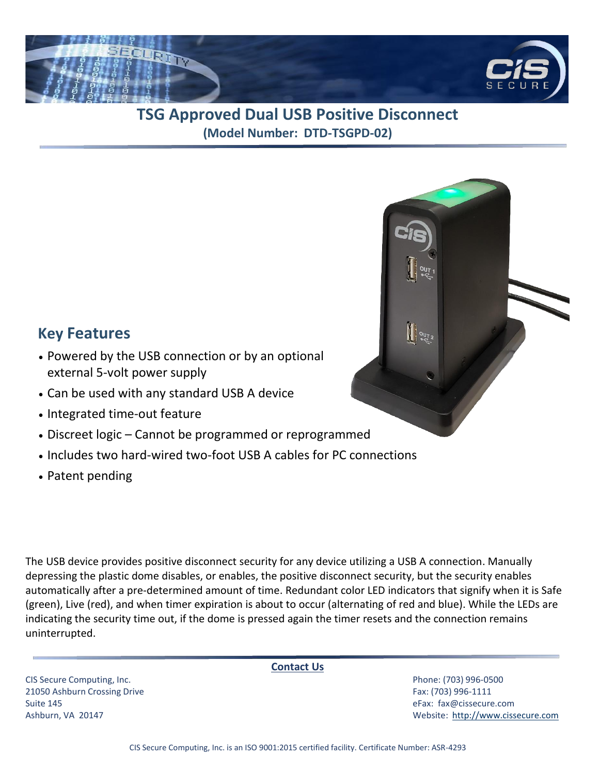

## **TSG Approved Dual USB Positive Disconnect (Model Number: DTD-TSGPD-02)**

## **Key Features**

- Powered by the USB connection or by an optional external 5-volt power supply
- Can be used with any standard USB A device
- Integrated time-out feature
- Discreet logic Cannot be programmed or reprogrammed
- Includes two hard-wired two-foot USB A cables for PC connections
- Patent pending

The USB device provides positive disconnect security for any device utilizing a USB A connection. Manually depressing the plastic dome disables, or enables, the positive disconnect security, but the security enables automatically after a pre-determined amount of time. Redundant color LED indicators that signify when it is Safe (green), Live (red), and when timer expiration is about to occur (alternating of red and blue). While the LEDs are indicating the security time out, if the dome is pressed again the timer resets and the connection remains uninterrupted.

CIS Secure Computing, Inc. Phone: (703) 996-0500 21050 Ashburn Crossing Drive Fax: (703) 996-1111 Suite 145 eFax: [fax@cissecure.com](mailto:fax@cissecure.com)

**Contact Us**

Ashburn, VA 20147 Website: [http://www.cissecure.com](http://www.cissecure.com/)